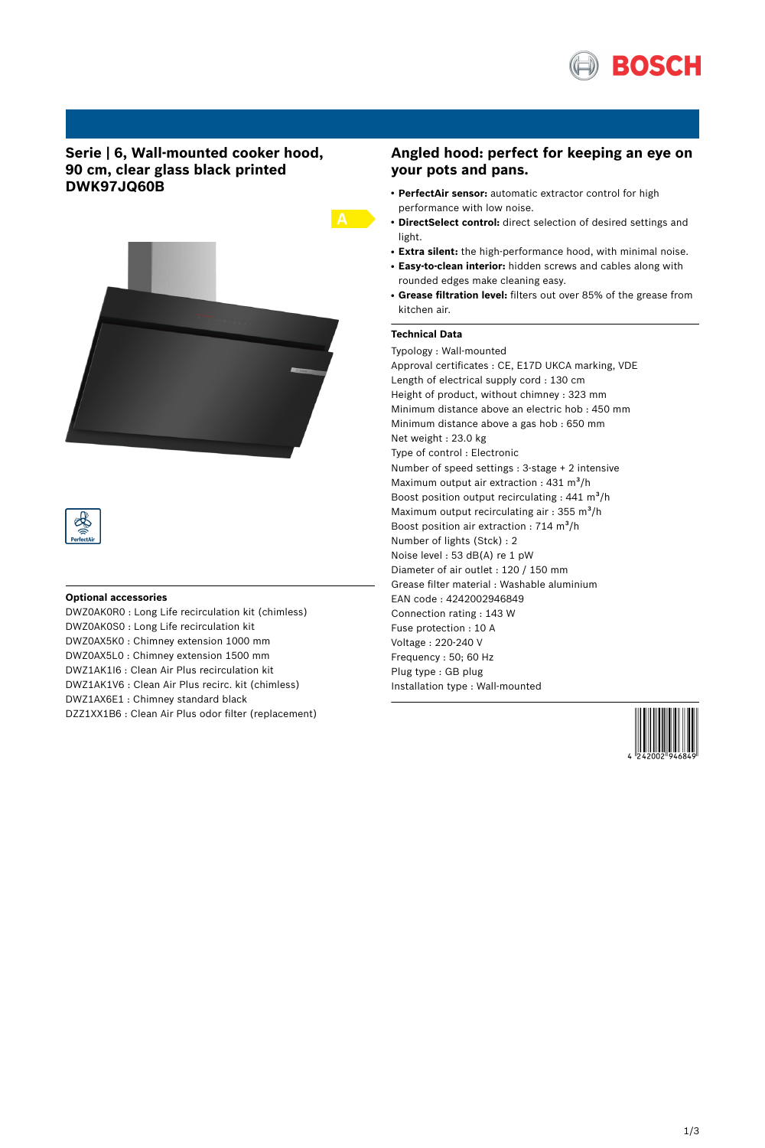

# **Serie | 6, Wall-mounted cooker hood, 90 cm, clear glass black printed DWK97JQ60B**



#### **Optional accessories**

DWZ0AK0R0 : Long Life recirculation kit (chimless) DWZ0AK0S0 : Long Life recirculation kit DWZ0AX5K0 : Chimney extension 1000 mm DWZ0AX5L0 : Chimney extension 1500 mm DWZ1AK1I6 : Clean Air Plus recirculation kit DWZ1AK1V6 : Clean Air Plus recirc. kit (chimless) DWZ1AX6E1 : Chimney standard black DZZ1XX1B6 : Clean Air Plus odor filter (replacement)

## **Angled hood: perfect for keeping an eye on your pots and pans.**

- **PerfectAir sensor:** automatic extractor control for high performance with low noise.
- **DirectSelect control:** direct selection of desired settings and light.
- **Extra silent:** the high-performance hood, with minimal noise.
- **Easy-to-clean interior:** hidden screws and cables along with rounded edges make cleaning easy.
- **Grease filtration level:** filters out over 85% of the grease from kitchen air.

### **Technical Data**

Typology : Wall-mounted Approval certificates : CE, E17D UKCA marking, VDE Length of electrical supply cord : 130 cm Height of product, without chimney : 323 mm Minimum distance above an electric hob : 450 mm Minimum distance above a gas hob : 650 mm Net weight : 23.0 kg Type of control : Electronic Number of speed settings : 3-stage + 2 intensive Maximum output air extraction :  $431 \text{ m}^3\text{/h}$ Boost position output recirculating :  $441 \text{ m}^3\text{/h}$ Maximum output recirculating air :  $355 \text{ m}^3$ /h Boost position air extraction : 714  $m^3/h$ Number of lights (Stck) : 2 Noise level : 53 dB(A) re 1 pW Diameter of air outlet : 120 / 150 mm Grease filter material : Washable aluminium EAN code : 4242002946849 Connection rating : 143 W Fuse protection : 10 A Voltage : 220-240 V Frequency : 50; 60 Hz Plug type : GB plug Installation type : Wall-mounted

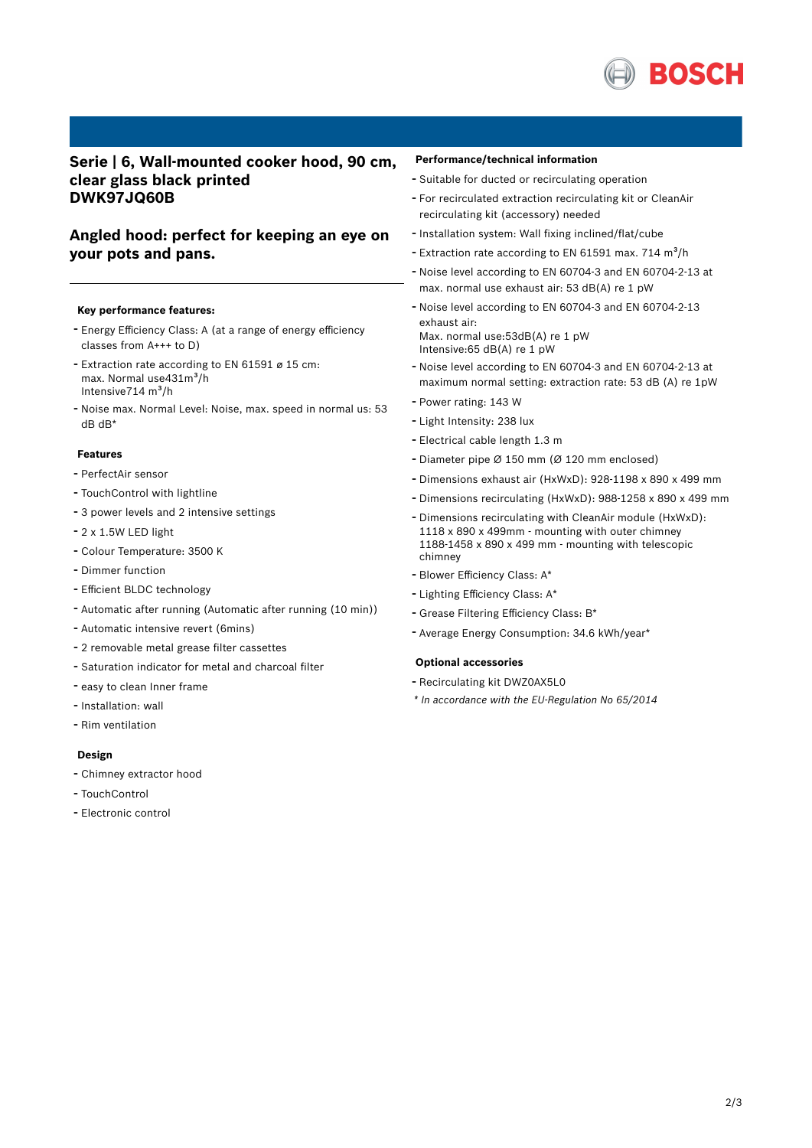

# **Serie | 6, Wall-mounted cooker hood, 90 cm, clear glass black printed DWK97JQ60B**

# **Angled hood: perfect for keeping an eye on your pots and pans.**

#### **Key performance features:**

- Energy Efficiency Class: <sup>A</sup> (at <sup>a</sup> range of energy efficiency classes from A+++ to D)
- Extraction rate according to EN <sup>61591</sup> <sup>ø</sup> <sup>15</sup> cm: max. Normal use431m<sup>3</sup>/h Intensive $714 \text{ m}^3\text{/h}$
- Noise max. Normal Level: Noise, max. speed in normal us: <sup>53</sup> dB dB\*

#### **Features**

- PerfectAir sensor
- TouchControl with lightline
- <sup>3</sup> power levels and <sup>2</sup> intensive settings
- 2 x 1.5W LED light
- Colour Temperature: <sup>3500</sup> <sup>K</sup>
- Dimmer function
- Efficient BLDC technology
- Automatic after running (Automatic after running (10 min))
- Automatic intensive revert (6mins)
- <sup>2</sup> removable metal grease filter cassettes
- Saturation indicator for metal and charcoal filter
- easy to clean Inner frame
- Installation: wall
- Rim ventilation

#### **Design**

- Chimney extractor hood
- TouchControl
- Electronic control

#### **Performance/technical information**

- Suitable for ducted or recirculating operation
- For recirculated extraction recirculating kit or CleanAir recirculating kit (accessory) needed
- Installation system: Wall fixing inclined/flat/cube
- Extraction rate according to EN 61591 max.  $714 \text{ m}^3/h$
- Noise level according to EN 60704-3 and EN 60704-2-13 at max. normal use exhaust air: 53 dB(A) re 1 pW
- Noise level according to EN 60704-3 and EN 60704-2-13 exhaust air: Max. normal use:53dB(A) re 1 pW Intensive:65 dB(A) re 1 pW
- Noise level according to EN 60704-3 and EN 60704-2-13 at maximum normal setting: extraction rate: 53 dB (A) re 1pW
- Power rating: <sup>143</sup> <sup>W</sup>
- Light Intensity: <sup>238</sup> lux
- Electrical cable length 1.3 <sup>m</sup>
- Diameter pipe <sup>Ø</sup> <sup>150</sup> mm (Ø <sup>120</sup> mm enclosed)
- Dimensions exhaust air (HxWxD): 928-1198 <sup>x</sup> <sup>890</sup> <sup>x</sup> <sup>499</sup> mm
- Dimensions recirculating (HxWxD): 988-1258 <sup>x</sup> <sup>890</sup> <sup>x</sup> <sup>499</sup> mm
- Dimensions recirculating with CleanAir module (HxWxD): 1118 x 890 x 499mm - mounting with outer chimney 1188-1458 x 890 x 499 mm - mounting with telescopic chimney
- Blower Efficiency Class: A\*
- Lighting Efficiency Class: A\*
- Grease Filtering Efficiency Class: B\*
- Average Energy Consumption: 34.6 kWh/year\*

#### **Optional accessories**

- Recirculating kit DWZ0AX5L0
- *\* In accordance with the EU-Regulation No 65/2014*